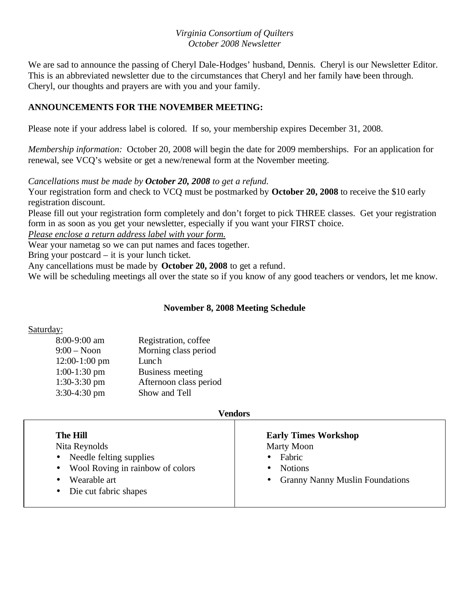## *Virginia Consortium of Quilters October 2008 Newsletter*

We are sad to announce the passing of Cheryl Dale-Hodges' husband, Dennis. Cheryl is our Newsletter Editor. This is an abbreviated newsletter due to the circumstances that Cheryl and her family have been through. Cheryl, our thoughts and prayers are with you and your family.

# **ANNOUNCEMENTS FOR THE NOVEMBER MEETING:**

Please note if your address label is colored. If so, your membership expires December 31, 2008.

*Membership information:* October 20, 2008 will begin the date for 2009 memberships. For an application for renewal, see VCQ's website or get a new/renewal form at the November meeting.

## *Cancellations must be made by October 20, 2008 to get a refund.*

Your registration form and check to VCQ must be postmarked by **October 20, 2008** to receive the \$10 early registration discount.

Please fill out your registration form completely and don't forget to pick THREE classes. Get your registration form in as soon as you get your newsletter, especially if you want your FIRST choice.

*Please enclose a return address label with your form.*

Wear your nametag so we can put names and faces together.

Bring your postcard – it is your lunch ticket.

Any cancellations must be made by **October 20, 2008** to get a refund.

We will be scheduling meetings all over the state so if you know of any good teachers or vendors, let me know.

## **November 8, 2008 Meeting Schedule**

#### Saturday:

| 8:00-9:00 am    | Registration, coffee    |
|-----------------|-------------------------|
| 9:00 – Noon     | Morning class period    |
| $12:00-1:00$ pm | Lunch                   |
| $1:00-1:30$ pm  | <b>Business meeting</b> |
| 1:30-3:30 pm    | Afternoon class period  |
| $3:30-4:30$ pm  | Show and Tell           |
|                 |                         |

#### **Vendors**

| The Hill                           | <b>Early Times Workshop</b>            |  |  |
|------------------------------------|----------------------------------------|--|--|
| Nita Reynolds                      | <b>Marty Moon</b>                      |  |  |
| • Needle felting supplies          | Fabric                                 |  |  |
| • Wool Roving in rainbow of colors | <b>Notions</b>                         |  |  |
| Wearable art                       | <b>Granny Nanny Muslin Foundations</b> |  |  |
| • Die cut fabric shapes            |                                        |  |  |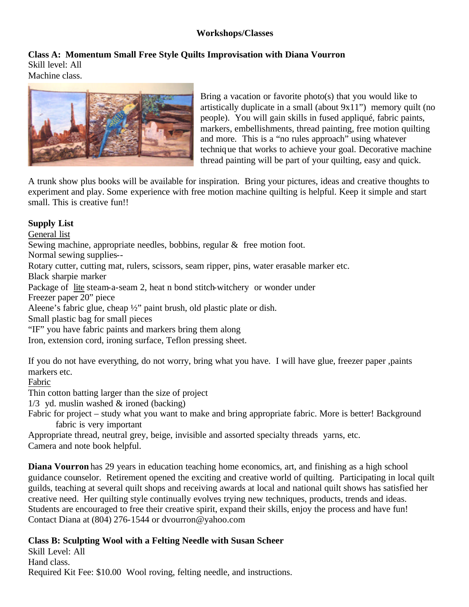# **Workshops/Classes**

#### **Class A: Momentum Small Free Style Quilts Improvisation with Diana Vourron** Skill level: All

Machine class.



Bring a vacation or favorite photo(s) that you would like to artistically duplicate in a small (about 9x11") memory quilt (no people). You will gain skills in fused appliqué, fabric paints, markers, embellishments, thread painting, free motion quilting and more. This is a "no rules approach" using whatever technique that works to achieve your goal. Decorative machine thread painting will be part of your quilting, easy and quick.

A trunk show plus books will be available for inspiration. Bring your pictures, ideas and creative thoughts to experiment and play. Some experience with free motion machine quilting is helpful. Keep it simple and start small. This is creative fun!!

# **Supply List**

General list

Sewing machine, appropriate needles, bobbins, regular & free motion foot.

Normal sewing supplies--

Rotary cutter, cutting mat, rulers, scissors, seam ripper, pins, water erasable marker etc.

Black sharpie marker

Package of lite steam-a-seam 2, heat n bond stitch-witchery or wonder under

Freezer paper 20" piece

Aleene's fabric glue, cheap ½" paint brush, old plastic plate or dish.

Small plastic bag for small pieces

"IF" you have fabric paints and markers bring them along

Iron, extension cord, ironing surface, Teflon pressing sheet.

If you do not have everything, do not worry, bring what you have. I will have glue, freezer paper ,paints markers etc.

Fabric

Thin cotton batting larger than the size of project

 $1/3$  yd. muslin washed & ironed (backing)

Fabric for project – study what you want to make and bring appropriate fabric. More is better! Background fabric is very important

Appropriate thread, neutral grey, beige, invisible and assorted specialty threads yarns, etc. Camera and note book helpful.

**Diana Vourron** has 29 years in education teaching home economics, art, and finishing as a high school guidance counselor. Retirement opened the exciting and creative world of quilting. Participating in local quilt guilds, teaching at several quilt shops and receiving awards at local and national quilt shows has satisfied her creative need. Her quilting style continually evolves trying new techniques, products, trends and ideas. Students are encouraged to free their creative spirit, expand their skills, enjoy the process and have fun! Contact Diana at (804) 276-1544 or dvourron@yahoo.com

# **Class B: Sculpting Wool with a Felting Needle with Susan Scheer**

Skill Level: All Hand class. Required Kit Fee: \$10.00 Wool roving, felting needle, and instructions.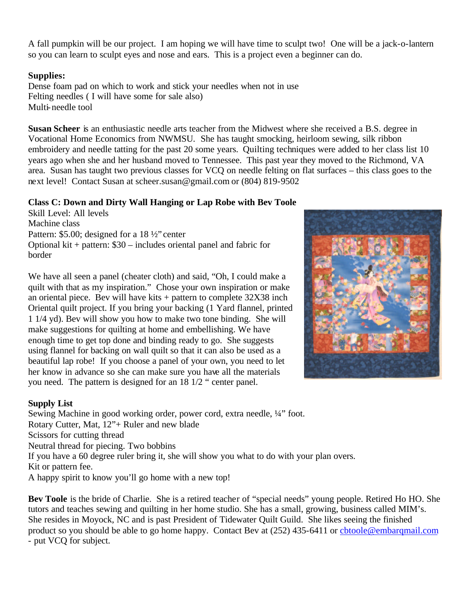A fall pumpkin will be our project. I am hoping we will have time to sculpt two! One will be a jack-o-lantern so you can learn to sculpt eyes and nose and ears. This is a project even a beginner can do.

## **Supplies:**

Dense foam pad on which to work and stick your needles when not in use Felting needles ( I will have some for sale also) Multi-needle tool

**Susan Scheer** is an enthusiastic needle arts teacher from the Midwest where she received a B.S. degree in Vocational Home Economics from NWMSU. She has taught smocking, heirloom sewing, silk ribbon embroidery and needle tatting for the past 20 some years. Quilting techniques were added to her class list 10 years ago when she and her husband moved to Tennessee. This past year they moved to the Richmond, VA area. Susan has taught two previous classes for VCQ on needle felting on flat surfaces – this class goes to the next level! Contact Susan at scheer.susan@gmail.com or (804) 819-9502

### **Class C: Down and Dirty Wall Hanging or Lap Robe with Bev Toole**

Skill Level: All levels Machine class Pattern: \$5.00; designed for a 18 ½" center Optional kit + pattern: \$30 – includes oriental panel and fabric for border

We have all seen a panel (cheater cloth) and said, "Oh, I could make a quilt with that as my inspiration." Chose your own inspiration or make an oriental piece. Bev will have kits + pattern to complete 32X38 inch Oriental quilt project. If you bring your backing (1 Yard flannel, printed 1 1/4 yd). Bev will show you how to make two tone binding. She will make suggestions for quilting at home and embellishing. We have enough time to get top done and binding ready to go. She suggests using flannel for backing on wall quilt so that it can also be used as a beautiful lap robe! If you choose a panel of your own, you need to let her know in advance so she can make sure you have all the materials you need. The pattern is designed for an 18 1/2 " center panel.



## **Supply List**

Sewing Machine in good working order, power cord, extra needle, ¼" foot. Rotary Cutter, Mat, 12"+ Ruler and new blade Scissors for cutting thread Neutral thread for piecing. Two bobbins If you have a 60 degree ruler bring it, she will show you what to do with your plan overs. Kit or pattern fee. A happy spirit to know you'll go home with a new top!

**Bev Toole** is the bride of Charlie. She is a retired teacher of "special needs" young people. Retired Ho HO. She tutors and teaches sewing and quilting in her home studio. She has a small, growing, business called MIM's. She resides in Moyock, NC and is past President of Tidewater Quilt Guild. She likes seeing the finished product so you should be able to go home happy. Contact Bev at (252) 435-6411 or cbtoole@embarqmail.com - put VCQ for subject.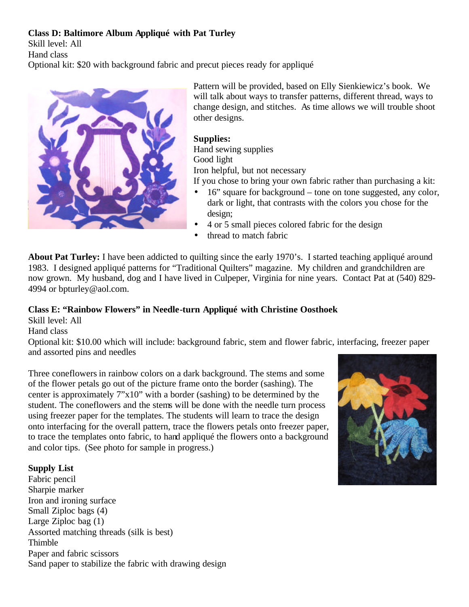# **Class D: Baltimore Album Appliqué with Pat Turley**

Skill level: All

Hand class

Optional kit: \$20 with background fabric and precut pieces ready for appliqué



Pattern will be provided, based on Elly Sienkiewicz's book. We will talk about ways to transfer patterns, different thread, ways to change design, and stitches. As time allows we will trouble shoot other designs.

# **Supplies:**

Hand sewing supplies Good light

Iron helpful, but not necessary

If you chose to bring your own fabric rather than purchasing a kit:

- 16" square for background tone on tone suggested, any color, dark or light, that contrasts with the colors you chose for the design;
- 4 or 5 small pieces colored fabric for the design
- thread to match fabric

**About Pat Turley:** I have been addicted to quilting since the early 1970's. I started teaching appliqué around 1983. I designed appliqué patterns for "Traditional Quilters" magazine. My children and grandchildren are now grown. My husband, dog and I have lived in Culpeper, Virginia for nine years. Contact Pat at (540) 829- 4994 or bpturley@aol.com.

# **Class E: "Rainbow Flowers" in Needle-turn Appliqué with Christine Oosthoek**

Skill level: All

Hand class

Optional kit: \$10.00 which will include: background fabric, stem and flower fabric, interfacing, freezer paper and assorted pins and needles

Three coneflowers in rainbow colors on a dark background. The stems and some of the flower petals go out of the picture frame onto the border (sashing). The center is approximately 7"x10" with a border (sashing) to be determined by the student. The coneflowers and the stems will be done with the needle turn process using freezer paper for the templates. The students will learn to trace the design onto interfacing for the overall pattern, trace the flowers petals onto freezer paper, to trace the templates onto fabric, to hand appliqué the flowers onto a background and color tips. (See photo for sample in progress.)



# **Supply List**

Fabric pencil Sharpie marker Iron and ironing surface Small Ziploc bags (4) Large Ziploc bag (1) Assorted matching threads (silk is best) Thimble Paper and fabric scissors Sand paper to stabilize the fabric with drawing design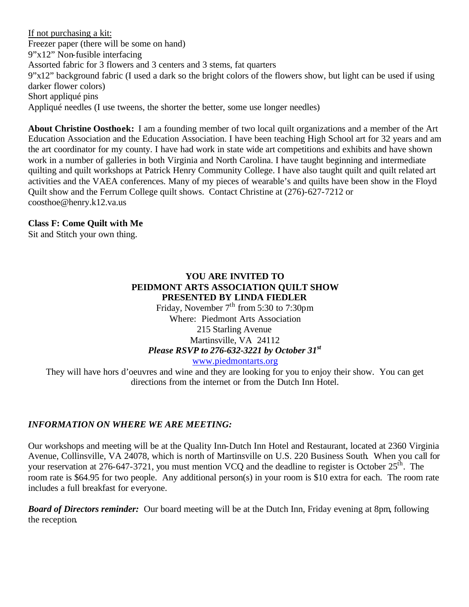If not purchasing a kit: Freezer paper (there will be some on hand) 9"x12" Non-fusible interfacing Assorted fabric for 3 flowers and 3 centers and 3 stems, fat quarters 9"x12" background fabric (I used a dark so the bright colors of the flowers show, but light can be used if using darker flower colors) Short appliqué pins Appliqué needles (I use tweens, the shorter the better, some use longer needles)

**About Christine Oosthoek:** I am a founding member of two local quilt organizations and a member of the Art Education Association and the Education Association. I have been teaching High School art for 32 years and am the art coordinator for my county. I have had work in state wide art competitions and exhibits and have shown work in a number of galleries in both Virginia and North Carolina. I have taught beginning and intermediate quilting and quilt workshops at Patrick Henry Community College. I have also taught quilt and quilt related art activities and the VAEA conferences. Many of my pieces of wearable's and quilts have been show in the Floyd Quilt show and the Ferrum College quilt shows. Contact Christine at (276)-627-7212 or coosthoe@henry.k12.va.us

## **Class F: Come Quilt with Me**

Sit and Stitch your own thing.

# **YOU ARE INVITED TO PEIDMONT ARTS ASSOCIATION QUILT SHOW PRESENTED BY LINDA FIEDLER**

Friday, November  $7<sup>th</sup>$  from 5:30 to 7:30pm Where: Piedmont Arts Association 215 Starling Avenue Martinsville, VA 24112 *Please RSVP to 276-632-3221 by October 31st* www.piedmontarts.org

They will have hors d'oeuvres and wine and they are looking for you to enjoy their show. You can get directions from the internet or from the Dutch Inn Hotel.

## *INFORMATION ON WHERE WE ARE MEETING:*

Our workshops and meeting will be at the Quality Inn-Dutch Inn Hotel and Restaurant, located at 2360 Virginia Avenue, Collinsville, VA 24078, which is north of Martinsville on U.S. 220 Business South. When you call for your reservation at 276-647-3721, you must mention VCQ and the deadline to register is October  $25<sup>th</sup>$ . The room rate is \$64.95 for two people. Any additional person(s) in your room is \$10 extra for each. The room rate includes a full breakfast for everyone.

*Board of Directors reminder:* Our board meeting will be at the Dutch Inn, Friday evening at 8pm, following the reception.